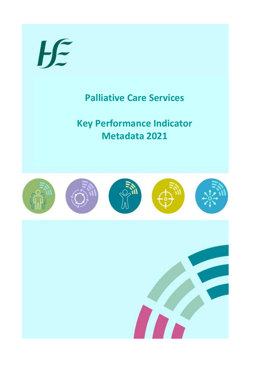# $H \in$

# **Palliative Care Services**

**Key Performance Indicator Metadata 2021**

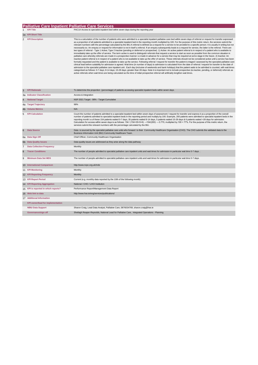#### **Palliative Care Inpatient Palliative Care Services**

#### 1 **KPI Title PACTA Access to specialist inpatient bed within seven days during the reporting year**<br>1 **KPI Title PACTA Access to specialist inpatient bed within seven days during the reporting year**

1a **KPI Short Title**

2 KPI Description **This is a calculation of the number of patients who were admitted to a specialist inpatient palliative care bed within seven days of referral or request for transfer expressed** as a proportion of all patients admitted to a specialist inpatient bed in the reporting month multiplied by 100. For the purpose of this metric return, the services submit the services submit the services submit the servic inactive patient referral is in respect of a patient who is not available to take up the offer of service. These referrals should not be considered active until a service has been<br>formally requested and the patient is avai admission to the specialist palliative care inpatient unit . Each day (inclusive of weekends and bank holidays) that the patient waits to be admitted is counted, with wait times<br>categorised as follows: 0-7 days; 8-14 days;

| 3   | <b>KPI Rationale</b>                                                                                                                                                                                                                                | To determine the proportion (percentage) of patients accessing specialist inpatient beds within seven days.                                                                                                                                                                                                                                                                                                                                                                                                                                                                                                                                                                                                                                                                                                      |
|-----|-----------------------------------------------------------------------------------------------------------------------------------------------------------------------------------------------------------------------------------------------------|------------------------------------------------------------------------------------------------------------------------------------------------------------------------------------------------------------------------------------------------------------------------------------------------------------------------------------------------------------------------------------------------------------------------------------------------------------------------------------------------------------------------------------------------------------------------------------------------------------------------------------------------------------------------------------------------------------------------------------------------------------------------------------------------------------------|
|     | 3a Indicator Classification                                                                                                                                                                                                                         | Access & Integration                                                                                                                                                                                                                                                                                                                                                                                                                                                                                                                                                                                                                                                                                                                                                                                             |
| 4   | <b>National Target</b>                                                                                                                                                                                                                              | NSP 2021 Target - 98% - Target Cumulative                                                                                                                                                                                                                                                                                                                                                                                                                                                                                                                                                                                                                                                                                                                                                                        |
|     | 4a Target Trajectory                                                                                                                                                                                                                                | 98%                                                                                                                                                                                                                                                                                                                                                                                                                                                                                                                                                                                                                                                                                                                                                                                                              |
| 4b. | <b>Volume Metrics</b>                                                                                                                                                                                                                               | N/A                                                                                                                                                                                                                                                                                                                                                                                                                                                                                                                                                                                                                                                                                                                                                                                                              |
| 5   | <b>KPI Calculation</b>                                                                                                                                                                                                                              | Count the number of patients admitted to a specialist inpatient bed within seven days of assessment / request for transfer and express it as a proportion of the overall<br>number of patients admitted to specialist inpatient beds in the reporting period and multiply by 100. Example, 200 patients were admitted to specialist inpatient beds in the<br>reporting month i.e.of these 154 patients waited 0-7 days, 35 patients waited 8-14 days, 5 patients waited 15-28 days & 6 patients waited >28 days for admission.<br>Calculation for access within seven days is as follows: 154 / (154+35+5+6) $\rightarrow$ 154/(200) $\rightarrow$ 0.770, multiplied by 100 = 77%. For the purpose of this metric return, the<br>services submit the relevant numbers with the percentage calculated by the BIU. |
| 6   | <b>Data Source</b><br>Data is sourced by the specialist palliative care units who forward to their Community Healthcare Organisation (CHO). The CHO submits the validated data to the<br>Business Information Unit (BIU) Community Healthcare Team. |                                                                                                                                                                                                                                                                                                                                                                                                                                                                                                                                                                                                                                                                                                                                                                                                                  |
|     | 6a Data Sign Off                                                                                                                                                                                                                                    | Chief Officer, Community Healthcare Organisation                                                                                                                                                                                                                                                                                                                                                                                                                                                                                                                                                                                                                                                                                                                                                                 |
|     | 6b Data Quality Issues                                                                                                                                                                                                                              | Data quality issues are addressed as they arise along the data pathway                                                                                                                                                                                                                                                                                                                                                                                                                                                                                                                                                                                                                                                                                                                                           |
| 7   | <b>Data Collection Frequency</b>                                                                                                                                                                                                                    | Monthly                                                                                                                                                                                                                                                                                                                                                                                                                                                                                                                                                                                                                                                                                                                                                                                                          |
| 8   | <b>Tracer Conditions</b>                                                                                                                                                                                                                            | The number of people admitted to specialist palliative care inpatient units and wait times for admission in particular wait time 0-7 days. .                                                                                                                                                                                                                                                                                                                                                                                                                                                                                                                                                                                                                                                                     |
| 9   | <b>Minimum Data Set MDS</b>                                                                                                                                                                                                                         | The number of people admitted to specialist palliative care inpatient units and wait times for admission in particular wait time 0-7 days.                                                                                                                                                                                                                                                                                                                                                                                                                                                                                                                                                                                                                                                                       |
|     | 10 International Comparison                                                                                                                                                                                                                         | http://www.ncpc.org.uk/mds                                                                                                                                                                                                                                                                                                                                                                                                                                                                                                                                                                                                                                                                                                                                                                                       |
|     | 11 KPI Monitoring                                                                                                                                                                                                                                   | Monthly                                                                                                                                                                                                                                                                                                                                                                                                                                                                                                                                                                                                                                                                                                                                                                                                          |
|     | 12 KPI Reporting Frequency                                                                                                                                                                                                                          | Monthly                                                                                                                                                                                                                                                                                                                                                                                                                                                                                                                                                                                                                                                                                                                                                                                                          |
|     | 13 KPI Report Period                                                                                                                                                                                                                                | Current (e.g. monthly data reported by the 10th of the following month)                                                                                                                                                                                                                                                                                                                                                                                                                                                                                                                                                                                                                                                                                                                                          |
|     | 14 KPI Reporting Aggregation                                                                                                                                                                                                                        | National / CHO / LHO/ Institution                                                                                                                                                                                                                                                                                                                                                                                                                                                                                                                                                                                                                                                                                                                                                                                |
|     | 15 KPI is reported in which reports?                                                                                                                                                                                                                | Performance Report/Management Data Report                                                                                                                                                                                                                                                                                                                                                                                                                                                                                                                                                                                                                                                                                                                                                                        |
|     | 16 Web link to data                                                                                                                                                                                                                                 | http://www.hse.ie/eng/services/publications/                                                                                                                                                                                                                                                                                                                                                                                                                                                                                                                                                                                                                                                                                                                                                                     |
|     | 17 Additional Information                                                                                                                                                                                                                           |                                                                                                                                                                                                                                                                                                                                                                                                                                                                                                                                                                                                                                                                                                                                                                                                                  |
|     | <b>KPI owner/lead for implementation</b>                                                                                                                                                                                                            |                                                                                                                                                                                                                                                                                                                                                                                                                                                                                                                                                                                                                                                                                                                                                                                                                  |
|     | <b>NBIU Data Support</b>                                                                                                                                                                                                                            | Sharon Craig, Lead Data Analyst, Palliative Care, 0876034769, sharon.craig@hse.ie                                                                                                                                                                                                                                                                                                                                                                                                                                                                                                                                                                                                                                                                                                                                |
|     | Governance/sign off                                                                                                                                                                                                                                 | Sheilagh Reaper-Reynolds, National Lead for Palliative Care, Integrated Operations - Planning                                                                                                                                                                                                                                                                                                                                                                                                                                                                                                                                                                                                                                                                                                                    |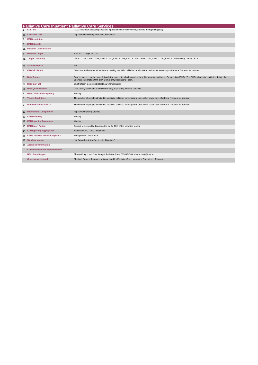|    | <b>Palliative Care Inpatient Palliative Care Services</b> |                                                                                                                                                                                                                               |
|----|-----------------------------------------------------------|-------------------------------------------------------------------------------------------------------------------------------------------------------------------------------------------------------------------------------|
|    | <b>KPI Title</b>                                          | PAC33 Number accessing specialist inpatient bed within seven days (during the reporting year)                                                                                                                                 |
|    | 1a KPI Short Title                                        | http://www.hse.ie/eng/services/publications/                                                                                                                                                                                  |
| 2  | <b>KPI Description</b>                                    |                                                                                                                                                                                                                               |
| 3  | <b>KPI Rationale</b>                                      |                                                                                                                                                                                                                               |
| За | <b>Indicator Classification</b>                           |                                                                                                                                                                                                                               |
| 4  | <b>National Target</b>                                    | NSP 2021 Target - 4,078                                                                                                                                                                                                       |
|    | 4a Target Trajectory                                      | CHO 1 - 236, CHO 2 - 464, CHO 3 - 492, CHO 4 - 948, CHO 5 -164, CHO 6 - 459, CHO 7 - 739, CHO 8 - (no service), CHO 9 - 576                                                                                                   |
| 4b | <b>Volume Metrics</b>                                     | N/A                                                                                                                                                                                                                           |
| 5  | <b>KPI Calculation</b>                                    | Count the total number of patients accessing specialist palliative care inpatient beds within seven days of referral / request for transfer.                                                                                  |
| 6  | <b>Data Source</b>                                        | Data is sourced by the specialist palliative care units who forward to their Community Healthcare Organisation (CHO). The CHO submits the validated data to the<br>Business Information Unit (BIU) Community Healthcare Team. |
|    | 6a Data Sign Off                                          | Chief Officer, Community Healthcare Organisation                                                                                                                                                                              |
|    | 6b Data Quality Issues                                    | Data quality issues are addressed as they arise along the data pathway.                                                                                                                                                       |
| 7  | <b>Data Collection Frequency</b>                          | Monthly                                                                                                                                                                                                                       |
| 8  | <b>Tracer Conditions</b>                                  | The number of people admitted to specialist palliative care inpatient units within seven days of referral / request for transfer.                                                                                             |
| 9  | <b>Minimum Data Set MDS</b>                               | The number of people admitted to specialist palliative care inpatient units within seven days of referral / request for transfer.                                                                                             |
|    | 10 International Comparison                               | http://www.ncpc.org.uk/mds                                                                                                                                                                                                    |
|    | 11 KPI Monitoring                                         | Monthly                                                                                                                                                                                                                       |
|    | 12 KPI Reporting Frequency                                | Monthly                                                                                                                                                                                                                       |
|    | 13 KPI Report Period                                      | Current (e.g. monthly data reported by the 10th of the following month)                                                                                                                                                       |
|    | 14 KPI Reporting Aggregation                              | National / CHO / LHO / Institution                                                                                                                                                                                            |
|    | 15 KPI is reported in which reports?                      | Management Data Report                                                                                                                                                                                                        |
|    | 16 Web link to data                                       | http://www.hse.ie/eng/services/publications/                                                                                                                                                                                  |
|    | 17 Additional Information                                 |                                                                                                                                                                                                                               |
|    | <b>KPI owner/lead for implementation</b>                  |                                                                                                                                                                                                                               |
|    | <b>NBIU Data Support</b>                                  | Sharon Craig, Lead Data Analyst, Palliative Care, 0876034769, sharon.craig@hse.ie                                                                                                                                             |
|    | Governance/sign off                                       | Sheilagh Reaper-Reynolds, National Lead for Palliative Care, Integrated Operations - Planning                                                                                                                                 |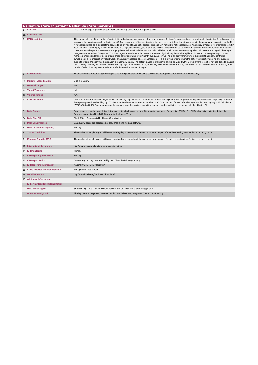|    | <b>Palliative Care Inpatient Palliative Care Services</b> |                                                                                                                                                                                                                                                                                                                                                                                                                                                                                                                                                                                                                                                                                                                                                                                                                                                                                                                                                                                                                                                                                                                                                                                                                                                                                                                                                                                                                                                                                                                                                                                                                                                                                                                                                                                                                                                                                                                               |
|----|-----------------------------------------------------------|-------------------------------------------------------------------------------------------------------------------------------------------------------------------------------------------------------------------------------------------------------------------------------------------------------------------------------------------------------------------------------------------------------------------------------------------------------------------------------------------------------------------------------------------------------------------------------------------------------------------------------------------------------------------------------------------------------------------------------------------------------------------------------------------------------------------------------------------------------------------------------------------------------------------------------------------------------------------------------------------------------------------------------------------------------------------------------------------------------------------------------------------------------------------------------------------------------------------------------------------------------------------------------------------------------------------------------------------------------------------------------------------------------------------------------------------------------------------------------------------------------------------------------------------------------------------------------------------------------------------------------------------------------------------------------------------------------------------------------------------------------------------------------------------------------------------------------------------------------------------------------------------------------------------------------|
|    |                                                           | PAC34 Percentage of patients triaged within one working day of referral (Inpatient Unit)                                                                                                                                                                                                                                                                                                                                                                                                                                                                                                                                                                                                                                                                                                                                                                                                                                                                                                                                                                                                                                                                                                                                                                                                                                                                                                                                                                                                                                                                                                                                                                                                                                                                                                                                                                                                                                      |
|    | 1a KPI Short Title                                        |                                                                                                                                                                                                                                                                                                                                                                                                                                                                                                                                                                                                                                                                                                                                                                                                                                                                                                                                                                                                                                                                                                                                                                                                                                                                                                                                                                                                                                                                                                                                                                                                                                                                                                                                                                                                                                                                                                                               |
| 2  | <b>KPI Description</b>                                    | This is a calculation of the number of patients triaged within one working day of referral or request for transfer expressed as a proportion of all patients referred / requesting<br>transfer in the reporting month multiplied by 100. For the purpose of this metric return, the services submit the relevant numbers with the percentage calculated by the BIU.<br>A referral is defined as a request for a service to be provided to a specific person. It is usually in writing but not necessarily so. An enquiry or request for information is not in<br>itself a referral. If an enquiry subsequently leads to a request for service, the latter is the referral. Triage is defined as the examination of the patient referral form, patient<br>notes, scans and reports to ascertain the appropriate timeframe for delivery of specialist palliative care inpatient services to a patient. All patients are triaged. The triage<br>categories are as follows:Category 1: This is an urgent referral where the patient is in severe physical, psychosocial or spiritual distress and not responding to current<br>management or standard protocols of care or rapidly deteriorating or imminently dyingCategory 2: This is an early referral where the patient has poorly controlled<br>symptoms or a prognosis of only short weeks or acute psychosocial stressorsCategory 3: This is a routine referral where the patient's current symptoms and available<br>supports or care are such that the situation is reasonably stable. The patient triaged to Category 3 should be visited within 2 weeks from receipt of referral. Time to triage is<br>calculated by counting the number of days (working days i.e. Monday to Friday excluding week ends and bank holidays i.e. based on 5 / 7 days of service provision) from<br>receipt of referral, or request for patient transfer into service, to date of triage |
| 3  | <b>KPI Rationale</b>                                      | To determine the proportion (percentage) of referred patients triaged within a specific and appropriate timeframe of one working day.                                                                                                                                                                                                                                                                                                                                                                                                                                                                                                                                                                                                                                                                                                                                                                                                                                                                                                                                                                                                                                                                                                                                                                                                                                                                                                                                                                                                                                                                                                                                                                                                                                                                                                                                                                                         |
|    | 3a Indicator Classification                               | Quality & Safety                                                                                                                                                                                                                                                                                                                                                                                                                                                                                                                                                                                                                                                                                                                                                                                                                                                                                                                                                                                                                                                                                                                                                                                                                                                                                                                                                                                                                                                                                                                                                                                                                                                                                                                                                                                                                                                                                                              |
| 4  | <b>National Target</b>                                    | N/A                                                                                                                                                                                                                                                                                                                                                                                                                                                                                                                                                                                                                                                                                                                                                                                                                                                                                                                                                                                                                                                                                                                                                                                                                                                                                                                                                                                                                                                                                                                                                                                                                                                                                                                                                                                                                                                                                                                           |
| 4a | <b>Target Trajectory</b>                                  | N/A                                                                                                                                                                                                                                                                                                                                                                                                                                                                                                                                                                                                                                                                                                                                                                                                                                                                                                                                                                                                                                                                                                                                                                                                                                                                                                                                                                                                                                                                                                                                                                                                                                                                                                                                                                                                                                                                                                                           |
| 4b | <b>Volume Metrics</b>                                     | N/A                                                                                                                                                                                                                                                                                                                                                                                                                                                                                                                                                                                                                                                                                                                                                                                                                                                                                                                                                                                                                                                                                                                                                                                                                                                                                                                                                                                                                                                                                                                                                                                                                                                                                                                                                                                                                                                                                                                           |
| 5  | <b>KPI Calculation</b>                                    | Count the number of patients triaged within one working day of referral or request for transfer and express it as a proportion of all patients referred / requesting transfer in<br>the reporting month and multiply by 100. Example: Total number of referrals received = 90, Total number of these referrals triaged within 1 working day = 78 Calculation:<br>(78/90) x100 = 86.7% For the purpose of this metric return, the services submit the relevant numbers with the percentage calculated by the BIU.                                                                                                                                                                                                                                                                                                                                                                                                                                                                                                                                                                                                                                                                                                                                                                                                                                                                                                                                                                                                                                                                                                                                                                                                                                                                                                                                                                                                              |
| 6  | <b>Data Source</b>                                        | Data is sourced by the specialist palliative care units who forward to their Community Healthcare Organisation (CHO). The CHO submits the validated data to the<br>Business Information Unit (BIU) Community Healthcare Team.                                                                                                                                                                                                                                                                                                                                                                                                                                                                                                                                                                                                                                                                                                                                                                                                                                                                                                                                                                                                                                                                                                                                                                                                                                                                                                                                                                                                                                                                                                                                                                                                                                                                                                 |
|    | 6a Data Sign Off                                          | Chief Officer, Community Healthcare Organisation                                                                                                                                                                                                                                                                                                                                                                                                                                                                                                                                                                                                                                                                                                                                                                                                                                                                                                                                                                                                                                                                                                                                                                                                                                                                                                                                                                                                                                                                                                                                                                                                                                                                                                                                                                                                                                                                              |
|    | 6b Data Quality Issues                                    | Data quality issues are addressed as they arise along the data pathway.                                                                                                                                                                                                                                                                                                                                                                                                                                                                                                                                                                                                                                                                                                                                                                                                                                                                                                                                                                                                                                                                                                                                                                                                                                                                                                                                                                                                                                                                                                                                                                                                                                                                                                                                                                                                                                                       |
| 7  | <b>Data Collection Frequency</b>                          | Monthly                                                                                                                                                                                                                                                                                                                                                                                                                                                                                                                                                                                                                                                                                                                                                                                                                                                                                                                                                                                                                                                                                                                                                                                                                                                                                                                                                                                                                                                                                                                                                                                                                                                                                                                                                                                                                                                                                                                       |
| 8  | <b>Tracer Conditions</b>                                  | The number of people triaged within one working day of referral and the total number of people referred / requesting transfer in the reporting month.                                                                                                                                                                                                                                                                                                                                                                                                                                                                                                                                                                                                                                                                                                                                                                                                                                                                                                                                                                                                                                                                                                                                                                                                                                                                                                                                                                                                                                                                                                                                                                                                                                                                                                                                                                         |
| 9  | <b>Minimum Data Set MDS</b>                               | The number of people triaged within one working day of referral and the total number of people referred / requesting transfer in the reporting month.                                                                                                                                                                                                                                                                                                                                                                                                                                                                                                                                                                                                                                                                                                                                                                                                                                                                                                                                                                                                                                                                                                                                                                                                                                                                                                                                                                                                                                                                                                                                                                                                                                                                                                                                                                         |
|    | 10 International Comparison                               | http://www.ncpc.org.uk/mds-annual-questionnaires                                                                                                                                                                                                                                                                                                                                                                                                                                                                                                                                                                                                                                                                                                                                                                                                                                                                                                                                                                                                                                                                                                                                                                                                                                                                                                                                                                                                                                                                                                                                                                                                                                                                                                                                                                                                                                                                              |
|    | 11 KPI Monitoring                                         | Monthly                                                                                                                                                                                                                                                                                                                                                                                                                                                                                                                                                                                                                                                                                                                                                                                                                                                                                                                                                                                                                                                                                                                                                                                                                                                                                                                                                                                                                                                                                                                                                                                                                                                                                                                                                                                                                                                                                                                       |
|    | 12 KPI Reporting Frequency                                | Monthly                                                                                                                                                                                                                                                                                                                                                                                                                                                                                                                                                                                                                                                                                                                                                                                                                                                                                                                                                                                                                                                                                                                                                                                                                                                                                                                                                                                                                                                                                                                                                                                                                                                                                                                                                                                                                                                                                                                       |
|    | 13 KPI Report Period                                      | Current (eg. monthly data reported by the 10th of the following month)                                                                                                                                                                                                                                                                                                                                                                                                                                                                                                                                                                                                                                                                                                                                                                                                                                                                                                                                                                                                                                                                                                                                                                                                                                                                                                                                                                                                                                                                                                                                                                                                                                                                                                                                                                                                                                                        |
|    | 14 KPI Reporting Aggregation                              | National / CHO / LHO / Institution                                                                                                                                                                                                                                                                                                                                                                                                                                                                                                                                                                                                                                                                                                                                                                                                                                                                                                                                                                                                                                                                                                                                                                                                                                                                                                                                                                                                                                                                                                                                                                                                                                                                                                                                                                                                                                                                                            |
|    | 15 KPI is reported in which reports?                      | Management Data Report                                                                                                                                                                                                                                                                                                                                                                                                                                                                                                                                                                                                                                                                                                                                                                                                                                                                                                                                                                                                                                                                                                                                                                                                                                                                                                                                                                                                                                                                                                                                                                                                                                                                                                                                                                                                                                                                                                        |
|    | 16 Web link to data                                       | http://www.hse.ie/eng/services/publications/                                                                                                                                                                                                                                                                                                                                                                                                                                                                                                                                                                                                                                                                                                                                                                                                                                                                                                                                                                                                                                                                                                                                                                                                                                                                                                                                                                                                                                                                                                                                                                                                                                                                                                                                                                                                                                                                                  |
|    | 17 Additional Information                                 |                                                                                                                                                                                                                                                                                                                                                                                                                                                                                                                                                                                                                                                                                                                                                                                                                                                                                                                                                                                                                                                                                                                                                                                                                                                                                                                                                                                                                                                                                                                                                                                                                                                                                                                                                                                                                                                                                                                               |
|    | <b>KPI owner/lead for implementation</b>                  |                                                                                                                                                                                                                                                                                                                                                                                                                                                                                                                                                                                                                                                                                                                                                                                                                                                                                                                                                                                                                                                                                                                                                                                                                                                                                                                                                                                                                                                                                                                                                                                                                                                                                                                                                                                                                                                                                                                               |
|    | <b>NBIU Data Support</b>                                  | Sharon Craig, Lead Data Analyst, Palliative Care, 0876034769, sharon.craig@hse.ie                                                                                                                                                                                                                                                                                                                                                                                                                                                                                                                                                                                                                                                                                                                                                                                                                                                                                                                                                                                                                                                                                                                                                                                                                                                                                                                                                                                                                                                                                                                                                                                                                                                                                                                                                                                                                                             |
|    | Governance/sign off                                       | Sheilagh Reaper-Reynolds, National Lead for Palliative Care, Integrated Operations - Planning                                                                                                                                                                                                                                                                                                                                                                                                                                                                                                                                                                                                                                                                                                                                                                                                                                                                                                                                                                                                                                                                                                                                                                                                                                                                                                                                                                                                                                                                                                                                                                                                                                                                                                                                                                                                                                 |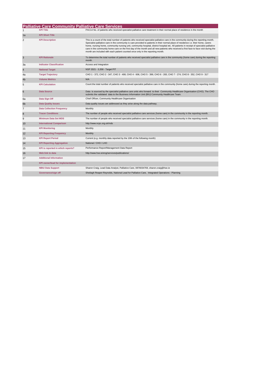|                | <b>Palliative Care Community Palliative Care Services</b> |                                                                                                                                                                                                                                                                                                                                                                                                                                                                                                                                                                                                                                                   |
|----------------|-----------------------------------------------------------|---------------------------------------------------------------------------------------------------------------------------------------------------------------------------------------------------------------------------------------------------------------------------------------------------------------------------------------------------------------------------------------------------------------------------------------------------------------------------------------------------------------------------------------------------------------------------------------------------------------------------------------------------|
|                | <b>KPI Title</b>                                          | PAC14 No. of patients who received specialist palliative care treatment in their normal place of residence in the month                                                                                                                                                                                                                                                                                                                                                                                                                                                                                                                           |
| 1a             | <b>KPI Short Title</b>                                    |                                                                                                                                                                                                                                                                                                                                                                                                                                                                                                                                                                                                                                                   |
| 2              | <b>KPI Description</b>                                    | This is a count of the total number of patients who received specialist palliative care in the community during the reporting month.<br>Specialist palliative care in the community is care provided to patients in their normal place of residence i.e. their home, carers<br>home, nursing home, community nursing unit, community hospital, district hospital etc. All patients in receipt of specialist palliative<br>care in the community home care on the first day of the month and all new patients who received a first face to face visit during the<br>month are included with each patient counted once only in the reporting month. |
| 3              | <b>KPI Rationale</b>                                      | To determine the total number of patients who received specialist palliative care in the community (home care) during the reporting<br>month.                                                                                                                                                                                                                                                                                                                                                                                                                                                                                                     |
| За             | <b>Indicator Classification</b>                           | Access and Integration                                                                                                                                                                                                                                                                                                                                                                                                                                                                                                                                                                                                                            |
| 4              | <b>National Target</b>                                    | NSP 2021 - 3,358 - Target PIT                                                                                                                                                                                                                                                                                                                                                                                                                                                                                                                                                                                                                     |
| 4a             | <b>Target Trajectory</b>                                  | CHO 1 - 372, CHO 2 - 347, CHO 3 - 408, CHO 4 - 606, CHO 5 - 399, CHO 6 - 283, CHO 7 - 274, CHO 8 - 352, CHO 9 - 317                                                                                                                                                                                                                                                                                                                                                                                                                                                                                                                               |
| 4b             | <b>Volume Metrics</b>                                     | N/A                                                                                                                                                                                                                                                                                                                                                                                                                                                                                                                                                                                                                                               |
| 5              | <b>KPI Calculation</b>                                    | Count the total number of patients who received specialist palliative care in the community (home care) during the reporting month.                                                                                                                                                                                                                                                                                                                                                                                                                                                                                                               |
| 6              | <b>Data Source</b>                                        | Data is sourced by the specialist palliative care units who forward to their Community Healthcare Organisation (CHO). The CHO<br>submits the validated data to the Business Information Unit (BIU) Community Healthcare Team.                                                                                                                                                                                                                                                                                                                                                                                                                     |
| 6а             | Data Sign Off                                             | Chief Officer, Community Healthcare Organisation                                                                                                                                                                                                                                                                                                                                                                                                                                                                                                                                                                                                  |
| 6b             | <b>Data Quality Issues</b>                                | Data quality issues are addressed as they arise along the data pathway.                                                                                                                                                                                                                                                                                                                                                                                                                                                                                                                                                                           |
| $\overline{7}$ | <b>Data Collection Frequency</b>                          | Monthly                                                                                                                                                                                                                                                                                                                                                                                                                                                                                                                                                                                                                                           |
| 8              | <b>Tracer Conditions</b>                                  | The number of people who received specialist palliative care services (home care) in the community in the reporting month.                                                                                                                                                                                                                                                                                                                                                                                                                                                                                                                        |
| 9              | <b>Minimum Data Set MDS</b>                               | The number of people who received specialist palliative care services (home care) in the community in the reporting month.                                                                                                                                                                                                                                                                                                                                                                                                                                                                                                                        |
| 10             | <b>International Comparison</b>                           | http://www.ncpc.org.uk/mds                                                                                                                                                                                                                                                                                                                                                                                                                                                                                                                                                                                                                        |
| 11             | <b>KPI Monitoring</b>                                     | Monthly                                                                                                                                                                                                                                                                                                                                                                                                                                                                                                                                                                                                                                           |
| 12             | <b>KPI Reporting Frequency</b>                            | Monthly                                                                                                                                                                                                                                                                                                                                                                                                                                                                                                                                                                                                                                           |
| 13             | <b>KPI Report Period</b>                                  | Current (e.g. monthly data reported by the 10th of the following month)                                                                                                                                                                                                                                                                                                                                                                                                                                                                                                                                                                           |
| 14             | <b>KPI Reporting Aggregation</b>                          | National / CHO / LHO                                                                                                                                                                                                                                                                                                                                                                                                                                                                                                                                                                                                                              |
| 15             | KPI is reported in which reports?                         | Performance Report/Management Data Report                                                                                                                                                                                                                                                                                                                                                                                                                                                                                                                                                                                                         |
| 16             | Web link to data                                          | http://www.hse.ie/eng/services/publications/                                                                                                                                                                                                                                                                                                                                                                                                                                                                                                                                                                                                      |
| 17             | <b>Additional Information</b>                             |                                                                                                                                                                                                                                                                                                                                                                                                                                                                                                                                                                                                                                                   |
|                | <b>KPI owner/lead for implementation</b>                  |                                                                                                                                                                                                                                                                                                                                                                                                                                                                                                                                                                                                                                                   |
|                | <b>NBIU Data Support</b>                                  | Sharon Craig, Lead Data Analyst, Palliative Care, 0876034769, sharon.craig@hse.ie                                                                                                                                                                                                                                                                                                                                                                                                                                                                                                                                                                 |
|                | Governance/sign off                                       | Sheilagh Reaper-Reynolds, National Lead for Palliative Care, Integrated Operations - Planning                                                                                                                                                                                                                                                                                                                                                                                                                                                                                                                                                     |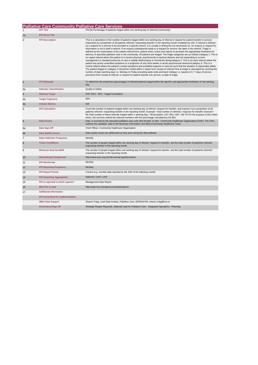### **Palliative Care Community Palliative Care Services**

| $\mathbf{1}$   | <b>KPI Title</b>                         | PAC36 Percentage of patients triaged within one working day of referral (Community)                                                                                                                                                                                                                                                                                                                                                                                                                                                                                                                                                                                                                                                                                                                                                                                                                                                                                                                                                                                                                                                                                                                                                                                                                                                                                                                                                                                                                                                                                                                                                                                                                                                                                                                         |
|----------------|------------------------------------------|-------------------------------------------------------------------------------------------------------------------------------------------------------------------------------------------------------------------------------------------------------------------------------------------------------------------------------------------------------------------------------------------------------------------------------------------------------------------------------------------------------------------------------------------------------------------------------------------------------------------------------------------------------------------------------------------------------------------------------------------------------------------------------------------------------------------------------------------------------------------------------------------------------------------------------------------------------------------------------------------------------------------------------------------------------------------------------------------------------------------------------------------------------------------------------------------------------------------------------------------------------------------------------------------------------------------------------------------------------------------------------------------------------------------------------------------------------------------------------------------------------------------------------------------------------------------------------------------------------------------------------------------------------------------------------------------------------------------------------------------------------------------------------------------------------------|
| 1a             | <b>KPI Short Title</b>                   |                                                                                                                                                                                                                                                                                                                                                                                                                                                                                                                                                                                                                                                                                                                                                                                                                                                                                                                                                                                                                                                                                                                                                                                                                                                                                                                                                                                                                                                                                                                                                                                                                                                                                                                                                                                                             |
| 2              | <b>KPI Description</b>                   | This is a calculation of the number of patients triaged within one working day of referral or request for patient transfer to service<br>expressed as a proportion of all patients referred / requesting transfer in the reporting month multiplied by 100. A referral is defined<br>as a request for a service to be provided to a specific person. It is usually in writing but not necessarily so. An enquiry or request for<br>information is not in itself a referral. If an enquiry subsequently leads to a request for service, the latter is the referral. Triage is<br>defined as the examination of the patient referral form, patient notes, scans and reports to ascertain the appropriate timeframe for<br>delivery of specialist palliative care in the community. All patients are triaged. The triage categories are as follows:Category 1: This is<br>an urgent referral where the patient is in severe physical, psychosocial or spiritual distress and not responding to current<br>management or standard protocols of care or rapidly deteriorating or imminently dyingCategory 2: This is an early referral where the<br>patient has poorly controlled symptoms or a prognosis of only short weeks or acute psychosocial stressorsCategory 3: This is a<br>routine referral where the patient's current symptoms and available supports or care are such that the situation is reasonably stable.<br>The patient triaged to Category 3 should be visited within 2 weeks from receipt of referral. Time to triage is calculated by counting the<br>number of days (working days i.e. Monday to Friday excluding week ends and bank holidays i.e. based on 5/7 days of service<br>provision) from receipt of referral, or request for patient transfer into service, to date of triage. |
| 3              | <b>KPI Rationale</b>                     | To determine the proportion (percentage) of referred patients triaged within the specific and appropriate timeframe of one working<br>day.                                                                                                                                                                                                                                                                                                                                                                                                                                                                                                                                                                                                                                                                                                                                                                                                                                                                                                                                                                                                                                                                                                                                                                                                                                                                                                                                                                                                                                                                                                                                                                                                                                                                  |
| За             | <b>Indicator Classification</b>          | Quality & Safety                                                                                                                                                                                                                                                                                                                                                                                                                                                                                                                                                                                                                                                                                                                                                                                                                                                                                                                                                                                                                                                                                                                                                                                                                                                                                                                                                                                                                                                                                                                                                                                                                                                                                                                                                                                            |
| 4              | <b>National Target</b>                   | NSP 2021 - 95% - Target Cumulative                                                                                                                                                                                                                                                                                                                                                                                                                                                                                                                                                                                                                                                                                                                                                                                                                                                                                                                                                                                                                                                                                                                                                                                                                                                                                                                                                                                                                                                                                                                                                                                                                                                                                                                                                                          |
| 4a             | <b>Target Trajectory</b>                 | 95%                                                                                                                                                                                                                                                                                                                                                                                                                                                                                                                                                                                                                                                                                                                                                                                                                                                                                                                                                                                                                                                                                                                                                                                                                                                                                                                                                                                                                                                                                                                                                                                                                                                                                                                                                                                                         |
| 4 <sub>b</sub> | <b>Volume Metrics</b>                    | N/A                                                                                                                                                                                                                                                                                                                                                                                                                                                                                                                                                                                                                                                                                                                                                                                                                                                                                                                                                                                                                                                                                                                                                                                                                                                                                                                                                                                                                                                                                                                                                                                                                                                                                                                                                                                                         |
| 5              | <b>KPI Calculation</b>                   | Count the number of patients triaged within one working day of referral / request for transfer, and express it as a proportion of all<br>patients referred / requesting transfer in the reporting month. Example: Total number of referrals / requests for transfer received =<br>90, Total number of these referrals triaged within 1 working day= 78Calculation: (78 / 90) x 100 = 86.7% For the purpose of this metric<br>return, the services submit the relevant numbers with the percentage calculated by the BIU.                                                                                                                                                                                                                                                                                                                                                                                                                                                                                                                                                                                                                                                                                                                                                                                                                                                                                                                                                                                                                                                                                                                                                                                                                                                                                    |
| 6              | <b>Data Source</b>                       | Data is sourced by the specialist palliative care units who forward to their Community Healthcare Organisation (CHO). The CHO<br>submits the validated data to the Business Information Unit (BIU) Community Healthcare Team.                                                                                                                                                                                                                                                                                                                                                                                                                                                                                                                                                                                                                                                                                                                                                                                                                                                                                                                                                                                                                                                                                                                                                                                                                                                                                                                                                                                                                                                                                                                                                                               |
| 6a             | Data Sign Off                            | Chief Officer, Community Healthcare Organisation                                                                                                                                                                                                                                                                                                                                                                                                                                                                                                                                                                                                                                                                                                                                                                                                                                                                                                                                                                                                                                                                                                                                                                                                                                                                                                                                                                                                                                                                                                                                                                                                                                                                                                                                                            |
| 6b             | <b>Data Quality Issues</b>               | Data quality issues are addressed as they arise along the data pathway.                                                                                                                                                                                                                                                                                                                                                                                                                                                                                                                                                                                                                                                                                                                                                                                                                                                                                                                                                                                                                                                                                                                                                                                                                                                                                                                                                                                                                                                                                                                                                                                                                                                                                                                                     |
| $\overline{7}$ | <b>Data Collection Frequency</b>         | Monthly                                                                                                                                                                                                                                                                                                                                                                                                                                                                                                                                                                                                                                                                                                                                                                                                                                                                                                                                                                                                                                                                                                                                                                                                                                                                                                                                                                                                                                                                                                                                                                                                                                                                                                                                                                                                     |
| 8              | <b>Tracer Conditions</b>                 | The number of people triaged within one working day of referral / request for transfer and the total number of partients referred /<br>requesting transfer in the reporting month.                                                                                                                                                                                                                                                                                                                                                                                                                                                                                                                                                                                                                                                                                                                                                                                                                                                                                                                                                                                                                                                                                                                                                                                                                                                                                                                                                                                                                                                                                                                                                                                                                          |
| 9              | <b>Minimum Data Set MDS</b>              | The number of people triaged within one working day of referral / request for transfer and the total number of partients referred /<br>requesting transfer in the reporting month.                                                                                                                                                                                                                                                                                                                                                                                                                                                                                                                                                                                                                                                                                                                                                                                                                                                                                                                                                                                                                                                                                                                                                                                                                                                                                                                                                                                                                                                                                                                                                                                                                          |
| 10             | <b>International Comparison</b>          | http://www.ncpc.org.uk/mds-annual-questionnaires                                                                                                                                                                                                                                                                                                                                                                                                                                                                                                                                                                                                                                                                                                                                                                                                                                                                                                                                                                                                                                                                                                                                                                                                                                                                                                                                                                                                                                                                                                                                                                                                                                                                                                                                                            |
| 11             | <b>KPI Monitoring</b>                    | Monthly                                                                                                                                                                                                                                                                                                                                                                                                                                                                                                                                                                                                                                                                                                                                                                                                                                                                                                                                                                                                                                                                                                                                                                                                                                                                                                                                                                                                                                                                                                                                                                                                                                                                                                                                                                                                     |
| 12             | <b>KPI Reporting Frequency</b>           | Monthly                                                                                                                                                                                                                                                                                                                                                                                                                                                                                                                                                                                                                                                                                                                                                                                                                                                                                                                                                                                                                                                                                                                                                                                                                                                                                                                                                                                                                                                                                                                                                                                                                                                                                                                                                                                                     |
| 13             | <b>KPI Report Period</b>                 | Current (e.g. monthly data reported by the 10th of the following month)                                                                                                                                                                                                                                                                                                                                                                                                                                                                                                                                                                                                                                                                                                                                                                                                                                                                                                                                                                                                                                                                                                                                                                                                                                                                                                                                                                                                                                                                                                                                                                                                                                                                                                                                     |
| 14             | <b>KPI Reporting Aggregation</b>         | National / CHO / LHO                                                                                                                                                                                                                                                                                                                                                                                                                                                                                                                                                                                                                                                                                                                                                                                                                                                                                                                                                                                                                                                                                                                                                                                                                                                                                                                                                                                                                                                                                                                                                                                                                                                                                                                                                                                        |
| 15             | KPI is reported in which reports?        | Management Data Report                                                                                                                                                                                                                                                                                                                                                                                                                                                                                                                                                                                                                                                                                                                                                                                                                                                                                                                                                                                                                                                                                                                                                                                                                                                                                                                                                                                                                                                                                                                                                                                                                                                                                                                                                                                      |
| 16             | Web link to data                         | http://www.hse.ie/eng/services/publications/                                                                                                                                                                                                                                                                                                                                                                                                                                                                                                                                                                                                                                                                                                                                                                                                                                                                                                                                                                                                                                                                                                                                                                                                                                                                                                                                                                                                                                                                                                                                                                                                                                                                                                                                                                |
| 17             | <b>Additional Information</b>            |                                                                                                                                                                                                                                                                                                                                                                                                                                                                                                                                                                                                                                                                                                                                                                                                                                                                                                                                                                                                                                                                                                                                                                                                                                                                                                                                                                                                                                                                                                                                                                                                                                                                                                                                                                                                             |
|                | <b>KPI owner/lead for implementation</b> |                                                                                                                                                                                                                                                                                                                                                                                                                                                                                                                                                                                                                                                                                                                                                                                                                                                                                                                                                                                                                                                                                                                                                                                                                                                                                                                                                                                                                                                                                                                                                                                                                                                                                                                                                                                                             |
|                | <b>NBIU Data Support</b>                 | Sharon Craig, Lead Data Analyst, Palliative Care, 0876034769, sharon.craig@hse.ie                                                                                                                                                                                                                                                                                                                                                                                                                                                                                                                                                                                                                                                                                                                                                                                                                                                                                                                                                                                                                                                                                                                                                                                                                                                                                                                                                                                                                                                                                                                                                                                                                                                                                                                           |
|                | Governance/sign off                      | Sheilagh Reaper-Reynolds, National Lead for Palliative Care, Integrated Operations - Planning                                                                                                                                                                                                                                                                                                                                                                                                                                                                                                                                                                                                                                                                                                                                                                                                                                                                                                                                                                                                                                                                                                                                                                                                                                                                                                                                                                                                                                                                                                                                                                                                                                                                                                               |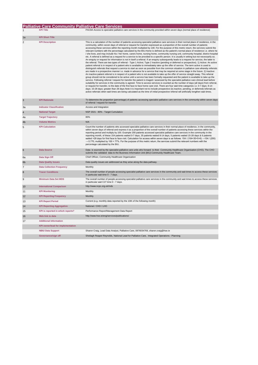## **Palliative Care Community Palliative Care Services**<br>1 **KPI Title RAC9A Access to specialist palliative care services in the community provided within seven days (normal place of residence)**

| 1a | <b>KPI Short Title</b> |                                                                                                                                                                                                                                                                                                                                                                                                                                                                                                                                                                                                                                                                                                                                                                                                                                                                                                                                                                                                                                                                                                                                                                                                                                                                                                                                                                                                                                                                                                                                                                                                                                                                                                                                                                                                                                                                                                                                                                                                                                                                                                                                                                                                                                                                                                                                                                                                                                                                                                                                                                                         |
|----|------------------------|-----------------------------------------------------------------------------------------------------------------------------------------------------------------------------------------------------------------------------------------------------------------------------------------------------------------------------------------------------------------------------------------------------------------------------------------------------------------------------------------------------------------------------------------------------------------------------------------------------------------------------------------------------------------------------------------------------------------------------------------------------------------------------------------------------------------------------------------------------------------------------------------------------------------------------------------------------------------------------------------------------------------------------------------------------------------------------------------------------------------------------------------------------------------------------------------------------------------------------------------------------------------------------------------------------------------------------------------------------------------------------------------------------------------------------------------------------------------------------------------------------------------------------------------------------------------------------------------------------------------------------------------------------------------------------------------------------------------------------------------------------------------------------------------------------------------------------------------------------------------------------------------------------------------------------------------------------------------------------------------------------------------------------------------------------------------------------------------------------------------------------------------------------------------------------------------------------------------------------------------------------------------------------------------------------------------------------------------------------------------------------------------------------------------------------------------------------------------------------------------------------------------------------------------------------------------------------------------|
| 2  | <b>KPI Description</b> | This is a calculation of the number of patients accessing specialist palliative care services in their normal place of residence, in the<br>community, within seven days of referral or request for transfer expressed as a proportion of the overall number of patients<br>accessing these services within the reporting month multiplied by 100. For the purpose of this metric return, the services submit the<br>relevant numbers with the percentage calculated by the BIU.Home is defined as the patient's normal place of residence i.e. where he<br>/ she lives, and may include his / her home, carers home, nursing home, community nursing unit, community hospital, district hospital<br>etc. A referral is defined as a request for a service to be provided to a specific person. It is usually in writing but not necessarily so.<br>An enquiry or request for information is not in itself a referral. If an enquiry subsequently leads to a request for service, the latter is<br>the referral. There are two types of referral - Type 1 Active; Type 2 Inactive (pending or deferred or prospective). 1) Active: An active<br>patient referral is in respect of a patient who is available to immediately take up the offer of service. The term active is used to<br>distinguish referrals that request a service to start as soon as possible from the common situation in palliative care whereby referrals<br>are made in a prospective manner i.e. made in advance for a service that may be required at some stage in the future. 2) Inactive:<br>An inactive patient referral is in respect of a patient who is not available to take up the offer of service straight away. This referral<br>group should not be considered to be active until a service has been formally requested and the patient is available to take up the<br>service. Following referral / request for transfer the patient is triaged / assessed by the specialist palliative care clinical lead before<br>suitability for services in the community is agreed. Time to access services is counted as the number of days (all days) from referral,<br>or request for transfer, to the date of the first face to face home care visit. There are four wait time categories i.e. 0-7 days; 8-14<br>days; 15-28 days; greater than 28 days. Note it is important not to include prospective (ie.inactive, pending, or deferred) referrals as<br>active referrals when wait times are being calculated as the time of initial prospective referral will artificially lengthen wait times. |
| 3  | <b>KPI Rationale</b>   | To determine the proportion (percentage) of patients accessing specialist palliative care services in the community within seven days<br>of referral / request for transfer.                                                                                                                                                                                                                                                                                                                                                                                                                                                                                                                                                                                                                                                                                                                                                                                                                                                                                                                                                                                                                                                                                                                                                                                                                                                                                                                                                                                                                                                                                                                                                                                                                                                                                                                                                                                                                                                                                                                                                                                                                                                                                                                                                                                                                                                                                                                                                                                                            |
|    |                        |                                                                                                                                                                                                                                                                                                                                                                                                                                                                                                                                                                                                                                                                                                                                                                                                                                                                                                                                                                                                                                                                                                                                                                                                                                                                                                                                                                                                                                                                                                                                                                                                                                                                                                                                                                                                                                                                                                                                                                                                                                                                                                                                                                                                                                                                                                                                                                                                                                                                                                                                                                                         |

| Зa             | <b>Indicator Classification</b>          | Access and Integration                                                                                                                                                                                                                                                                                                                                                                                                                                                                                                                                                                                                                                                                                                                                                                                                                                                   |
|----------------|------------------------------------------|--------------------------------------------------------------------------------------------------------------------------------------------------------------------------------------------------------------------------------------------------------------------------------------------------------------------------------------------------------------------------------------------------------------------------------------------------------------------------------------------------------------------------------------------------------------------------------------------------------------------------------------------------------------------------------------------------------------------------------------------------------------------------------------------------------------------------------------------------------------------------|
| 4              | <b>National Target</b>                   | NSP 2021 - 80% - Target Cumulative                                                                                                                                                                                                                                                                                                                                                                                                                                                                                                                                                                                                                                                                                                                                                                                                                                       |
| 4a             | <b>Target Trajectory</b>                 | 80%                                                                                                                                                                                                                                                                                                                                                                                                                                                                                                                                                                                                                                                                                                                                                                                                                                                                      |
| 4b             | <b>Volume Metrics</b>                    | N/A                                                                                                                                                                                                                                                                                                                                                                                                                                                                                                                                                                                                                                                                                                                                                                                                                                                                      |
| 5              | <b>KPI Calculation</b>                   | Count the number of patients who accessed specialist palliative care services in their normal place of residence, in the community,<br>within seven days of referral and express it as a proportion of the overall number of patients accessing these services within the<br>reporting period and multiply by 100. Example 200 patients accessed specialist palliative care services in the community in the<br>reporting month, of these 154 patients waited 0-7 days, 35 patients waited 8-14 days, 5 patients waited 15-28 days & 6 patients<br>waited >28 days for first face to face visit. Calculation for access within seven days is as follows: 154 / (154+35+5+6) ->154 / (200)<br>$\rightarrow$ 0.770, multiplied by 100 = 77%. For the purpose of this metric return, the services submit the relevant numbers with the<br>percentage calculated by the BIU. |
| 6              | <b>Data Source</b>                       | Data is sourced by the specialist palliative care units who forward to their Community Healthcare Organisation (CHO). The CHO<br>submits the validated data to the Business Information Unit (BIU) Community Healthcare Team.                                                                                                                                                                                                                                                                                                                                                                                                                                                                                                                                                                                                                                            |
| 6a             | Data Sign Off                            | Chief Officer, Community Healthcare Organisation                                                                                                                                                                                                                                                                                                                                                                                                                                                                                                                                                                                                                                                                                                                                                                                                                         |
| 6b             | <b>Data Quality Issues</b>               | Data quality issues are addressed as they arise along the data pathway.                                                                                                                                                                                                                                                                                                                                                                                                                                                                                                                                                                                                                                                                                                                                                                                                  |
| $\overline{7}$ | <b>Data Collection Frequency</b>         | Monthly                                                                                                                                                                                                                                                                                                                                                                                                                                                                                                                                                                                                                                                                                                                                                                                                                                                                  |
| 8              | <b>Tracer Conditions</b>                 | The overall number of people accessing specialist palliative care services in the community and wait times to access these services<br>in particular wait time 0 - 7 days.                                                                                                                                                                                                                                                                                                                                                                                                                                                                                                                                                                                                                                                                                               |
| 9              | <b>Minimum Data Set MDS</b>              | The overall number of people accessing specialist palliative care services in the community and wait times to access these services<br>in particular wait C27 time 0 - 7 days.                                                                                                                                                                                                                                                                                                                                                                                                                                                                                                                                                                                                                                                                                           |
| 10             | <b>International Comparison</b>          | http://www.ncpc.org.uk/mds                                                                                                                                                                                                                                                                                                                                                                                                                                                                                                                                                                                                                                                                                                                                                                                                                                               |
| 11             | <b>KPI Monitoring</b>                    | Monthly                                                                                                                                                                                                                                                                                                                                                                                                                                                                                                                                                                                                                                                                                                                                                                                                                                                                  |
| 12             | <b>KPI Reporting Frequency</b>           | Monthly                                                                                                                                                                                                                                                                                                                                                                                                                                                                                                                                                                                                                                                                                                                                                                                                                                                                  |
| 13             | <b>KPI Report Period</b>                 | Current (e.g. monthly data reported by the 10th of the following month)                                                                                                                                                                                                                                                                                                                                                                                                                                                                                                                                                                                                                                                                                                                                                                                                  |
| 14             | <b>KPI Reporting Aggregation</b>         | National / CHO / LHO                                                                                                                                                                                                                                                                                                                                                                                                                                                                                                                                                                                                                                                                                                                                                                                                                                                     |
| 15             | KPI is reported in which reports?        | Performance Report/Management Data Report                                                                                                                                                                                                                                                                                                                                                                                                                                                                                                                                                                                                                                                                                                                                                                                                                                |
| 16             | Web link to data                         | http://www.hse.ie/eng/services/publications/                                                                                                                                                                                                                                                                                                                                                                                                                                                                                                                                                                                                                                                                                                                                                                                                                             |
| 17             | <b>Additional Information</b>            |                                                                                                                                                                                                                                                                                                                                                                                                                                                                                                                                                                                                                                                                                                                                                                                                                                                                          |
|                | <b>KPI owner/lead for implementation</b> |                                                                                                                                                                                                                                                                                                                                                                                                                                                                                                                                                                                                                                                                                                                                                                                                                                                                          |
|                | <b>NBIU Data Support</b>                 | Sharon Craig, Lead Data Analyst, Palliative Care, 0876034769, sharon.craig@hse.ie                                                                                                                                                                                                                                                                                                                                                                                                                                                                                                                                                                                                                                                                                                                                                                                        |
|                | Governance/sign off                      | Sheilagh Reaper-Reynolds, National Lead for Palliative Care, Integrated Operations - Planning                                                                                                                                                                                                                                                                                                                                                                                                                                                                                                                                                                                                                                                                                                                                                                            |